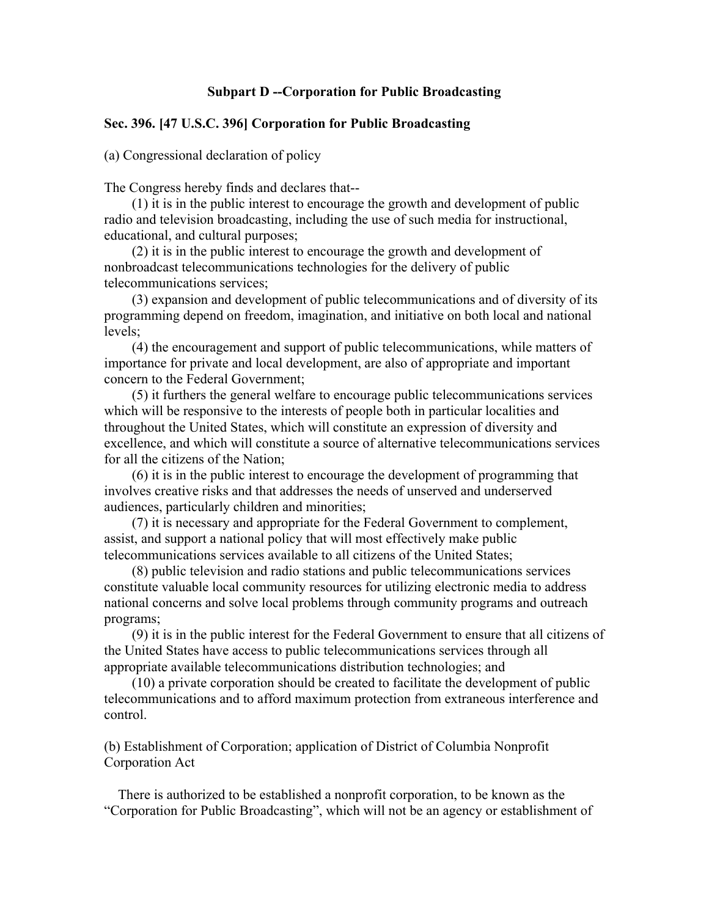## **Subpart D --Corporation for Public Broadcasting**

## **Sec. 396. [47 U.S.C. 396] Corporation for Public Broadcasting**

(a) Congressional declaration of policy

The Congress hereby finds and declares that--

 (1) it is in the public interest to encourage the growth and development of public radio and television broadcasting, including the use of such media for instructional, educational, and cultural purposes;

 (2) it is in the public interest to encourage the growth and development of nonbroadcast telecommunications technologies for the delivery of public telecommunications services;

 (3) expansion and development of public telecommunications and of diversity of its programming depend on freedom, imagination, and initiative on both local and national levels;

 (4) the encouragement and support of public telecommunications, while matters of importance for private and local development, are also of appropriate and important concern to the Federal Government;

 (5) it furthers the general welfare to encourage public telecommunications services which will be responsive to the interests of people both in particular localities and throughout the United States, which will constitute an expression of diversity and excellence, and which will constitute a source of alternative telecommunications services for all the citizens of the Nation;

 (6) it is in the public interest to encourage the development of programming that involves creative risks and that addresses the needs of unserved and underserved audiences, particularly children and minorities;

 (7) it is necessary and appropriate for the Federal Government to complement, assist, and support a national policy that will most effectively make public telecommunications services available to all citizens of the United States;

 (8) public television and radio stations and public telecommunications services constitute valuable local community resources for utilizing electronic media to address national concerns and solve local problems through community programs and outreach programs;

 (9) it is in the public interest for the Federal Government to ensure that all citizens of the United States have access to public telecommunications services through all appropriate available telecommunications distribution technologies; and

 (10) a private corporation should be created to facilitate the development of public telecommunications and to afford maximum protection from extraneous interference and control.

(b) Establishment of Corporation; application of District of Columbia Nonprofit Corporation Act

 There is authorized to be established a nonprofit corporation, to be known as the "Corporation for Public Broadcasting", which will not be an agency or establishment of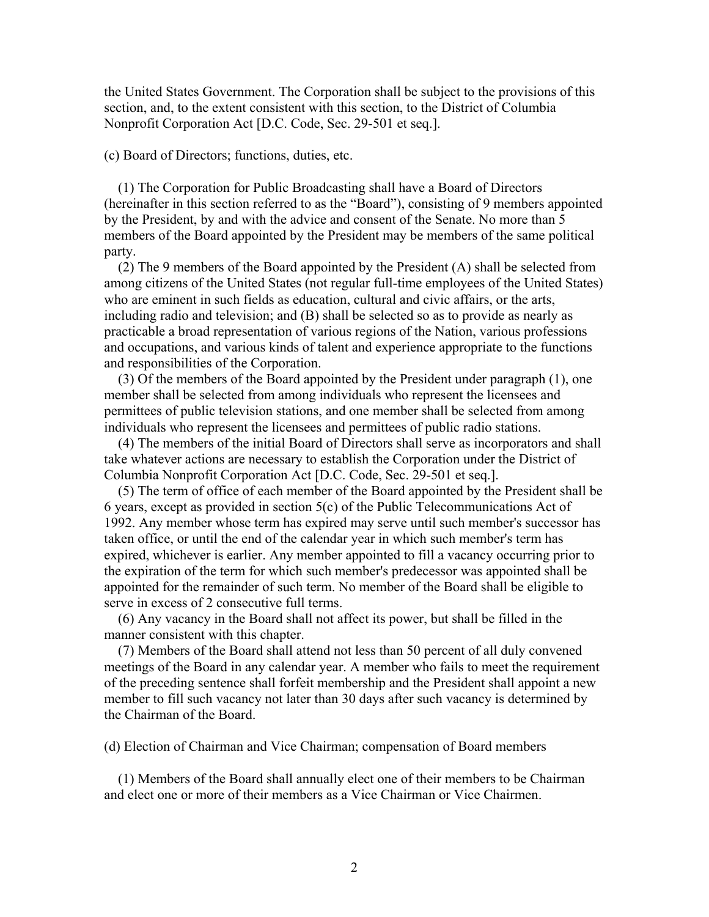the United States Government. The Corporation shall be subject to the provisions of this section, and, to the extent consistent with this section, to the District of Columbia Nonprofit Corporation Act [D.C. Code, Sec. 29-501 et seq.].

## (c) Board of Directors; functions, duties, etc.

 (1) The Corporation for Public Broadcasting shall have a Board of Directors (hereinafter in this section referred to as the "Board"), consisting of 9 members appointed by the President, by and with the advice and consent of the Senate. No more than 5 members of the Board appointed by the President may be members of the same political party.

 (2) The 9 members of the Board appointed by the President (A) shall be selected from among citizens of the United States (not regular full-time employees of the United States) who are eminent in such fields as education, cultural and civic affairs, or the arts, including radio and television; and (B) shall be selected so as to provide as nearly as practicable a broad representation of various regions of the Nation, various professions and occupations, and various kinds of talent and experience appropriate to the functions and responsibilities of the Corporation.

 (3) Of the members of the Board appointed by the President under paragraph (1), one member shall be selected from among individuals who represent the licensees and permittees of public television stations, and one member shall be selected from among individuals who represent the licensees and permittees of public radio stations.

 (4) The members of the initial Board of Directors shall serve as incorporators and shall take whatever actions are necessary to establish the Corporation under the District of Columbia Nonprofit Corporation Act [D.C. Code, Sec. 29-501 et seq.].

 (5) The term of office of each member of the Board appointed by the President shall be 6 years, except as provided in section 5(c) of the Public Telecommunications Act of 1992. Any member whose term has expired may serve until such member's successor has taken office, or until the end of the calendar year in which such member's term has expired, whichever is earlier. Any member appointed to fill a vacancy occurring prior to the expiration of the term for which such member's predecessor was appointed shall be appointed for the remainder of such term. No member of the Board shall be eligible to serve in excess of 2 consecutive full terms.

 (6) Any vacancy in the Board shall not affect its power, but shall be filled in the manner consistent with this chapter.

 (7) Members of the Board shall attend not less than 50 percent of all duly convened meetings of the Board in any calendar year. A member who fails to meet the requirement of the preceding sentence shall forfeit membership and the President shall appoint a new member to fill such vacancy not later than 30 days after such vacancy is determined by the Chairman of the Board.

(d) Election of Chairman and Vice Chairman; compensation of Board members

 (1) Members of the Board shall annually elect one of their members to be Chairman and elect one or more of their members as a Vice Chairman or Vice Chairmen.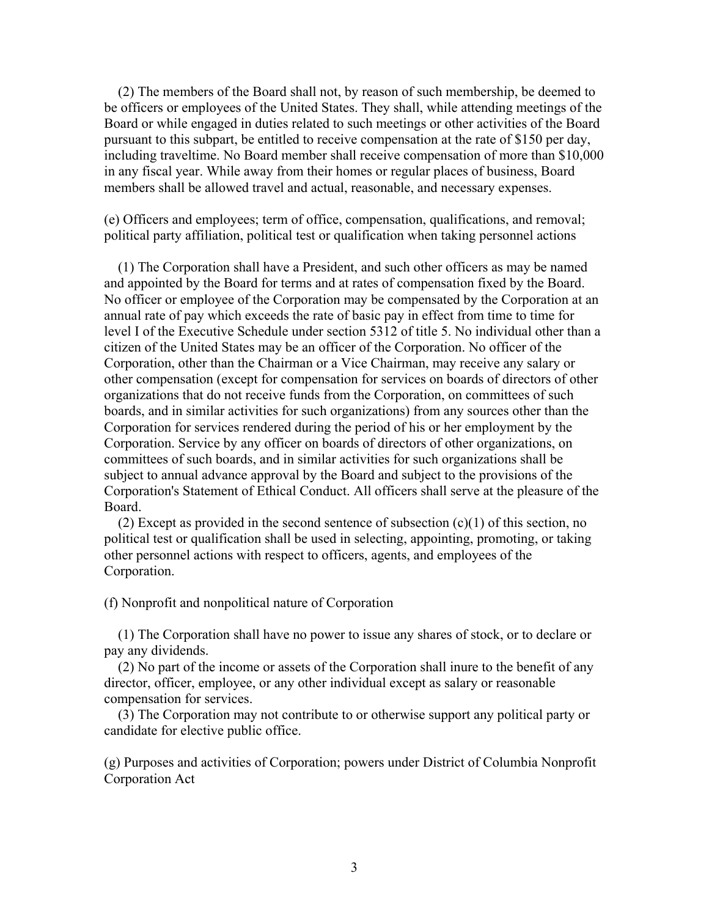(2) The members of the Board shall not, by reason of such membership, be deemed to be officers or employees of the United States. They shall, while attending meetings of the Board or while engaged in duties related to such meetings or other activities of the Board pursuant to this subpart, be entitled to receive compensation at the rate of \$150 per day, including traveltime. No Board member shall receive compensation of more than \$10,000 in any fiscal year. While away from their homes or regular places of business, Board members shall be allowed travel and actual, reasonable, and necessary expenses.

(e) Officers and employees; term of office, compensation, qualifications, and removal; political party affiliation, political test or qualification when taking personnel actions

 (1) The Corporation shall have a President, and such other officers as may be named and appointed by the Board for terms and at rates of compensation fixed by the Board. No officer or employee of the Corporation may be compensated by the Corporation at an annual rate of pay which exceeds the rate of basic pay in effect from time to time for level I of the Executive Schedule under section 5312 of title 5. No individual other than a citizen of the United States may be an officer of the Corporation. No officer of the Corporation, other than the Chairman or a Vice Chairman, may receive any salary or other compensation (except for compensation for services on boards of directors of other organizations that do not receive funds from the Corporation, on committees of such boards, and in similar activities for such organizations) from any sources other than the Corporation for services rendered during the period of his or her employment by the Corporation. Service by any officer on boards of directors of other organizations, on committees of such boards, and in similar activities for such organizations shall be subject to annual advance approval by the Board and subject to the provisions of the Corporation's Statement of Ethical Conduct. All officers shall serve at the pleasure of the Board.

(2) Except as provided in the second sentence of subsection  $(c)(1)$  of this section, no political test or qualification shall be used in selecting, appointing, promoting, or taking other personnel actions with respect to officers, agents, and employees of the Corporation.

(f) Nonprofit and nonpolitical nature of Corporation

 (1) The Corporation shall have no power to issue any shares of stock, or to declare or pay any dividends.

 (2) No part of the income or assets of the Corporation shall inure to the benefit of any director, officer, employee, or any other individual except as salary or reasonable compensation for services.

 (3) The Corporation may not contribute to or otherwise support any political party or candidate for elective public office.

(g) Purposes and activities of Corporation; powers under District of Columbia Nonprofit Corporation Act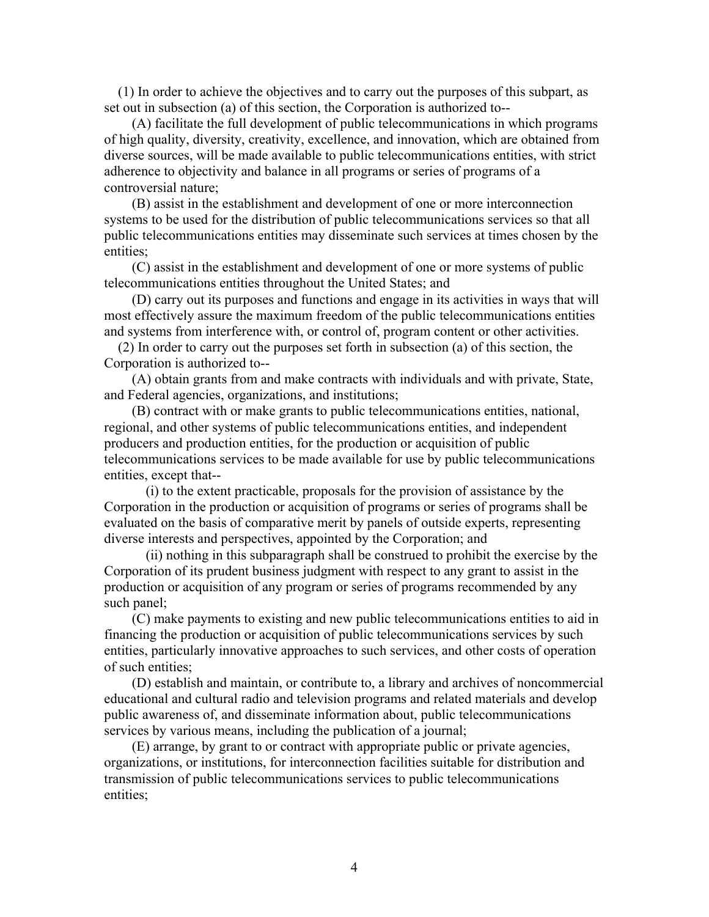(1) In order to achieve the objectives and to carry out the purposes of this subpart, as set out in subsection (a) of this section, the Corporation is authorized to--

 (A) facilitate the full development of public telecommunications in which programs of high quality, diversity, creativity, excellence, and innovation, which are obtained from diverse sources, will be made available to public telecommunications entities, with strict adherence to objectivity and balance in all programs or series of programs of a controversial nature;

 (B) assist in the establishment and development of one or more interconnection systems to be used for the distribution of public telecommunications services so that all public telecommunications entities may disseminate such services at times chosen by the entities;

 (C) assist in the establishment and development of one or more systems of public telecommunications entities throughout the United States; and

 (D) carry out its purposes and functions and engage in its activities in ways that will most effectively assure the maximum freedom of the public telecommunications entities and systems from interference with, or control of, program content or other activities.

 (2) In order to carry out the purposes set forth in subsection (a) of this section, the Corporation is authorized to--

 (A) obtain grants from and make contracts with individuals and with private, State, and Federal agencies, organizations, and institutions;

 (B) contract with or make grants to public telecommunications entities, national, regional, and other systems of public telecommunications entities, and independent producers and production entities, for the production or acquisition of public telecommunications services to be made available for use by public telecommunications entities, except that--

 (i) to the extent practicable, proposals for the provision of assistance by the Corporation in the production or acquisition of programs or series of programs shall be evaluated on the basis of comparative merit by panels of outside experts, representing diverse interests and perspectives, appointed by the Corporation; and

 (ii) nothing in this subparagraph shall be construed to prohibit the exercise by the Corporation of its prudent business judgment with respect to any grant to assist in the production or acquisition of any program or series of programs recommended by any such panel;

 (C) make payments to existing and new public telecommunications entities to aid in financing the production or acquisition of public telecommunications services by such entities, particularly innovative approaches to such services, and other costs of operation of such entities;

 (D) establish and maintain, or contribute to, a library and archives of noncommercial educational and cultural radio and television programs and related materials and develop public awareness of, and disseminate information about, public telecommunications services by various means, including the publication of a journal;

 (E) arrange, by grant to or contract with appropriate public or private agencies, organizations, or institutions, for interconnection facilities suitable for distribution and transmission of public telecommunications services to public telecommunications entities;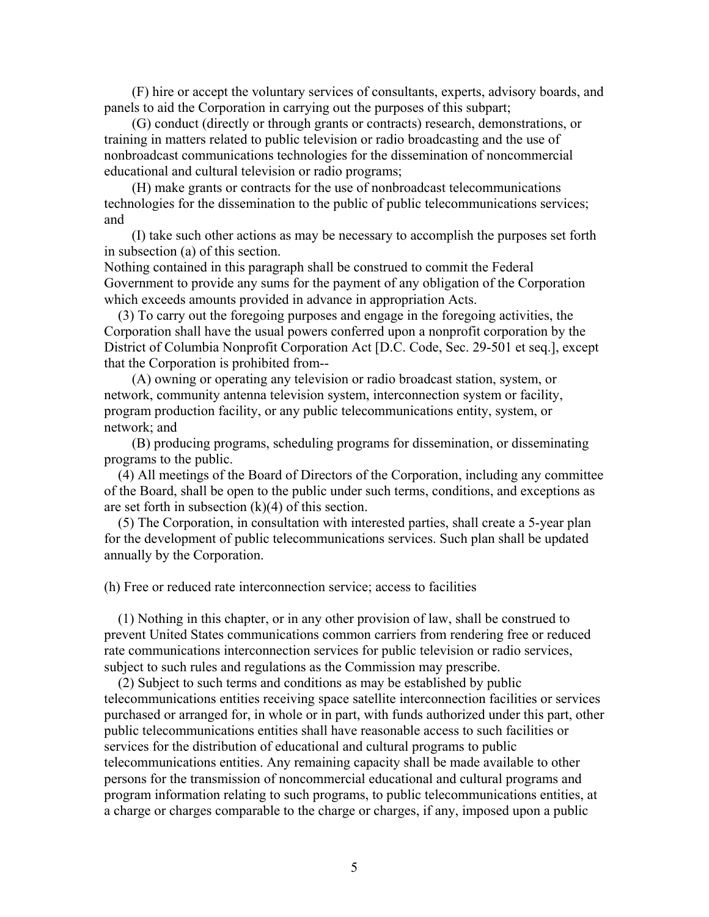(F) hire or accept the voluntary services of consultants, experts, advisory boards, and panels to aid the Corporation in carrying out the purposes of this subpart;

 (G) conduct (directly or through grants or contracts) research, demonstrations, or training in matters related to public television or radio broadcasting and the use of nonbroadcast communications technologies for the dissemination of noncommercial educational and cultural television or radio programs;

 (H) make grants or contracts for the use of nonbroadcast telecommunications technologies for the dissemination to the public of public telecommunications services; and

 (I) take such other actions as may be necessary to accomplish the purposes set forth in subsection (a) of this section.

Nothing contained in this paragraph shall be construed to commit the Federal Government to provide any sums for the payment of any obligation of the Corporation which exceeds amounts provided in advance in appropriation Acts.

 (3) To carry out the foregoing purposes and engage in the foregoing activities, the Corporation shall have the usual powers conferred upon a nonprofit corporation by the District of Columbia Nonprofit Corporation Act [D.C. Code, Sec. 29-501 et seq.], except that the Corporation is prohibited from--

 (A) owning or operating any television or radio broadcast station, system, or network, community antenna television system, interconnection system or facility, program production facility, or any public telecommunications entity, system, or network; and

 (B) producing programs, scheduling programs for dissemination, or disseminating programs to the public.

 (4) All meetings of the Board of Directors of the Corporation, including any committee of the Board, shall be open to the public under such terms, conditions, and exceptions as are set forth in subsection  $(k)(4)$  of this section.

 (5) The Corporation, in consultation with interested parties, shall create a 5-year plan for the development of public telecommunications services. Such plan shall be updated annually by the Corporation.

(h) Free or reduced rate interconnection service; access to facilities

 (1) Nothing in this chapter, or in any other provision of law, shall be construed to prevent United States communications common carriers from rendering free or reduced rate communications interconnection services for public television or radio services, subject to such rules and regulations as the Commission may prescribe.

 (2) Subject to such terms and conditions as may be established by public telecommunications entities receiving space satellite interconnection facilities or services purchased or arranged for, in whole or in part, with funds authorized under this part, other public telecommunications entities shall have reasonable access to such facilities or services for the distribution of educational and cultural programs to public telecommunications entities. Any remaining capacity shall be made available to other persons for the transmission of noncommercial educational and cultural programs and program information relating to such programs, to public telecommunications entities, at a charge or charges comparable to the charge or charges, if any, imposed upon a public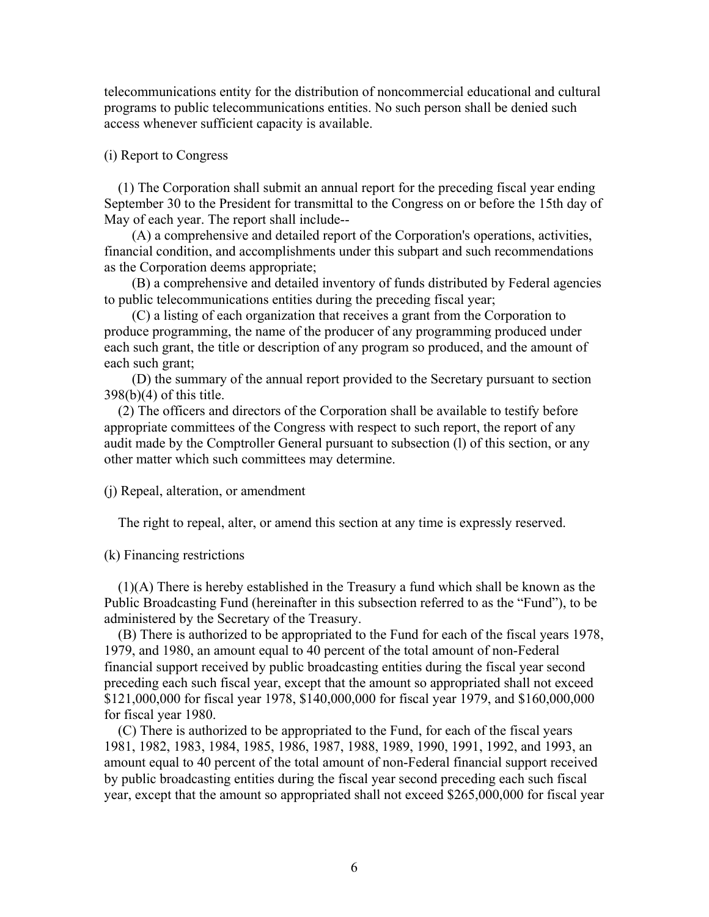telecommunications entity for the distribution of noncommercial educational and cultural programs to public telecommunications entities. No such person shall be denied such access whenever sufficient capacity is available.

## (i) Report to Congress

 (1) The Corporation shall submit an annual report for the preceding fiscal year ending September 30 to the President for transmittal to the Congress on or before the 15th day of May of each year. The report shall include--

 (A) a comprehensive and detailed report of the Corporation's operations, activities, financial condition, and accomplishments under this subpart and such recommendations as the Corporation deems appropriate;

 (B) a comprehensive and detailed inventory of funds distributed by Federal agencies to public telecommunications entities during the preceding fiscal year;

 (C) a listing of each organization that receives a grant from the Corporation to produce programming, the name of the producer of any programming produced under each such grant, the title or description of any program so produced, and the amount of each such grant;

 (D) the summary of the annual report provided to the Secretary pursuant to section 398(b)(4) of this title.

 (2) The officers and directors of the Corporation shall be available to testify before appropriate committees of the Congress with respect to such report, the report of any audit made by the Comptroller General pursuant to subsection (l) of this section, or any other matter which such committees may determine.

## (j) Repeal, alteration, or amendment

The right to repeal, alter, or amend this section at any time is expressly reserved.

### (k) Financing restrictions

 (1)(A) There is hereby established in the Treasury a fund which shall be known as the Public Broadcasting Fund (hereinafter in this subsection referred to as the "Fund"), to be administered by the Secretary of the Treasury.

 (B) There is authorized to be appropriated to the Fund for each of the fiscal years 1978, 1979, and 1980, an amount equal to 40 percent of the total amount of non-Federal financial support received by public broadcasting entities during the fiscal year second preceding each such fiscal year, except that the amount so appropriated shall not exceed \$121,000,000 for fiscal year 1978, \$140,000,000 for fiscal year 1979, and \$160,000,000 for fiscal year 1980.

 (C) There is authorized to be appropriated to the Fund, for each of the fiscal years 1981, 1982, 1983, 1984, 1985, 1986, 1987, 1988, 1989, 1990, 1991, 1992, and 1993, an amount equal to 40 percent of the total amount of non-Federal financial support received by public broadcasting entities during the fiscal year second preceding each such fiscal year, except that the amount so appropriated shall not exceed \$265,000,000 for fiscal year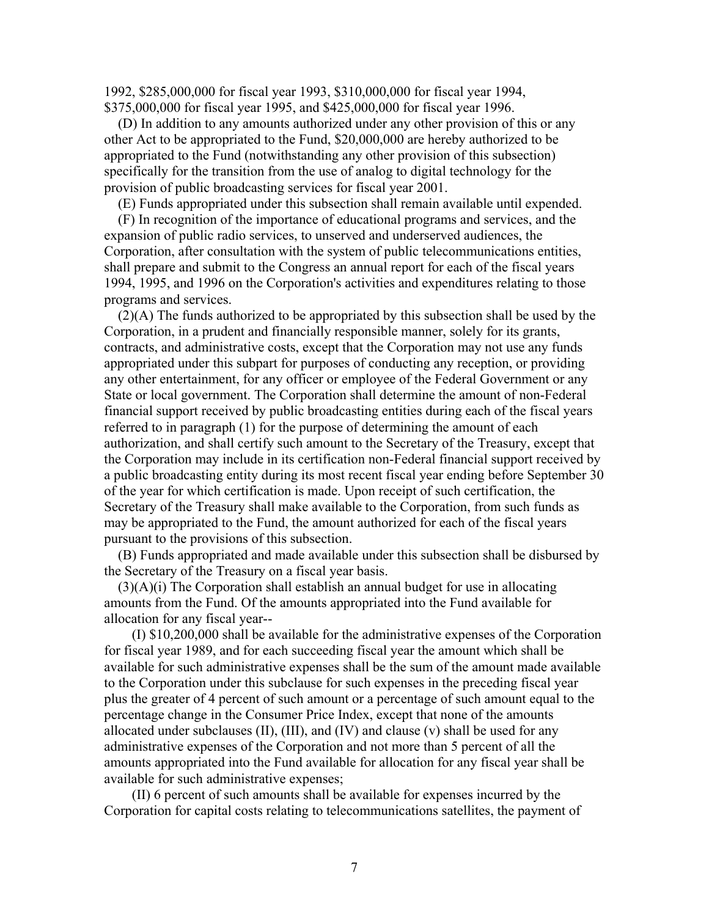1992, \$285,000,000 for fiscal year 1993, \$310,000,000 for fiscal year 1994, \$375,000,000 for fiscal year 1995, and \$425,000,000 for fiscal year 1996.

 (D) In addition to any amounts authorized under any other provision of this or any other Act to be appropriated to the Fund, \$20,000,000 are hereby authorized to be appropriated to the Fund (notwithstanding any other provision of this subsection) specifically for the transition from the use of analog to digital technology for the provision of public broadcasting services for fiscal year 2001.

(E) Funds appropriated under this subsection shall remain available until expended.

 (F) In recognition of the importance of educational programs and services, and the expansion of public radio services, to unserved and underserved audiences, the Corporation, after consultation with the system of public telecommunications entities, shall prepare and submit to the Congress an annual report for each of the fiscal years 1994, 1995, and 1996 on the Corporation's activities and expenditures relating to those programs and services.

 (2)(A) The funds authorized to be appropriated by this subsection shall be used by the Corporation, in a prudent and financially responsible manner, solely for its grants, contracts, and administrative costs, except that the Corporation may not use any funds appropriated under this subpart for purposes of conducting any reception, or providing any other entertainment, for any officer or employee of the Federal Government or any State or local government. The Corporation shall determine the amount of non-Federal financial support received by public broadcasting entities during each of the fiscal years referred to in paragraph (1) for the purpose of determining the amount of each authorization, and shall certify such amount to the Secretary of the Treasury, except that the Corporation may include in its certification non-Federal financial support received by a public broadcasting entity during its most recent fiscal year ending before September 30 of the year for which certification is made. Upon receipt of such certification, the Secretary of the Treasury shall make available to the Corporation, from such funds as may be appropriated to the Fund, the amount authorized for each of the fiscal years pursuant to the provisions of this subsection.

 (B) Funds appropriated and made available under this subsection shall be disbursed by the Secretary of the Treasury on a fiscal year basis.

 $(3)(A)(i)$  The Corporation shall establish an annual budget for use in allocating amounts from the Fund. Of the amounts appropriated into the Fund available for allocation for any fiscal year--

 (I) \$10,200,000 shall be available for the administrative expenses of the Corporation for fiscal year 1989, and for each succeeding fiscal year the amount which shall be available for such administrative expenses shall be the sum of the amount made available to the Corporation under this subclause for such expenses in the preceding fiscal year plus the greater of 4 percent of such amount or a percentage of such amount equal to the percentage change in the Consumer Price Index, except that none of the amounts allocated under subclauses  $(II)$ ,  $(III)$ , and  $(IV)$  and clause  $(v)$  shall be used for any administrative expenses of the Corporation and not more than 5 percent of all the amounts appropriated into the Fund available for allocation for any fiscal year shall be available for such administrative expenses;

 (II) 6 percent of such amounts shall be available for expenses incurred by the Corporation for capital costs relating to telecommunications satellites, the payment of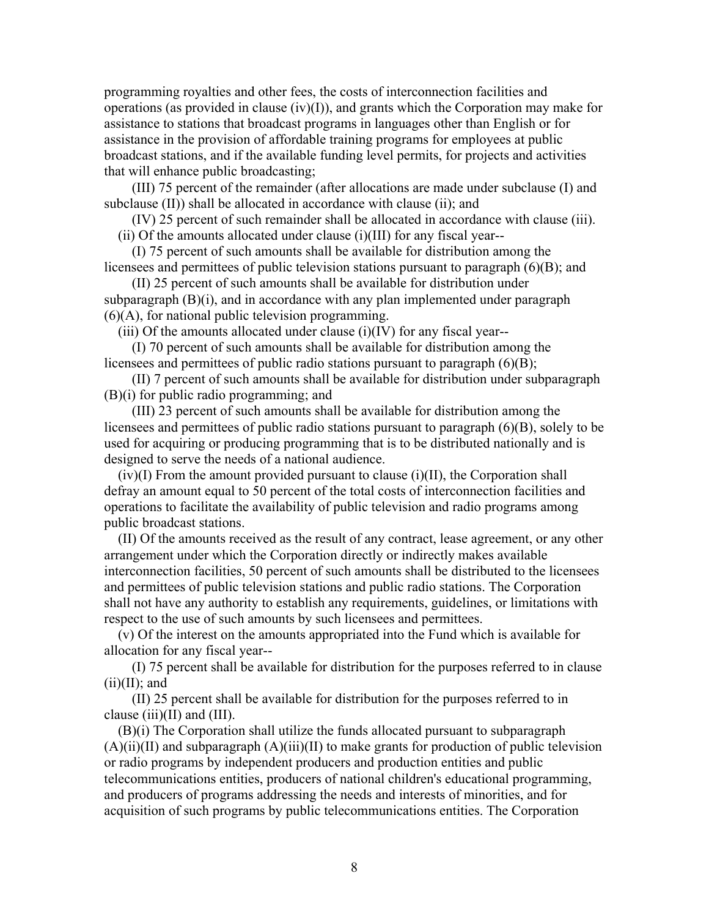programming royalties and other fees, the costs of interconnection facilities and operations (as provided in clause (iv)(I)), and grants which the Corporation may make for assistance to stations that broadcast programs in languages other than English or for assistance in the provision of affordable training programs for employees at public broadcast stations, and if the available funding level permits, for projects and activities that will enhance public broadcasting;

 (III) 75 percent of the remainder (after allocations are made under subclause (I) and subclause (II)) shall be allocated in accordance with clause (ii); and

 (IV) 25 percent of such remainder shall be allocated in accordance with clause (iii). (ii) Of the amounts allocated under clause (i)(III) for any fiscal year--

 (I) 75 percent of such amounts shall be available for distribution among the licensees and permittees of public television stations pursuant to paragraph (6)(B); and

 (II) 25 percent of such amounts shall be available for distribution under subparagraph (B)(i), and in accordance with any plan implemented under paragraph (6)(A), for national public television programming.

 $(iii)$  Of the amounts allocated under clause  $(i)(IV)$  for any fiscal year--

 (I) 70 percent of such amounts shall be available for distribution among the licensees and permittees of public radio stations pursuant to paragraph (6)(B);

 (II) 7 percent of such amounts shall be available for distribution under subparagraph (B)(i) for public radio programming; and

 (III) 23 percent of such amounts shall be available for distribution among the licensees and permittees of public radio stations pursuant to paragraph (6)(B), solely to be used for acquiring or producing programming that is to be distributed nationally and is designed to serve the needs of a national audience.

 $(iv)(I)$  From the amount provided pursuant to clause  $(i)(II)$ , the Corporation shall defray an amount equal to 50 percent of the total costs of interconnection facilities and operations to facilitate the availability of public television and radio programs among public broadcast stations.

 (II) Of the amounts received as the result of any contract, lease agreement, or any other arrangement under which the Corporation directly or indirectly makes available interconnection facilities, 50 percent of such amounts shall be distributed to the licensees and permittees of public television stations and public radio stations. The Corporation shall not have any authority to establish any requirements, guidelines, or limitations with respect to the use of such amounts by such licensees and permittees.

 (v) Of the interest on the amounts appropriated into the Fund which is available for allocation for any fiscal year--

 (I) 75 percent shall be available for distribution for the purposes referred to in clause  $(ii)(II)$ ; and

 (II) 25 percent shall be available for distribution for the purposes referred to in clause  $(iii)(II)$  and  $(III)$ .

 (B)(i) The Corporation shall utilize the funds allocated pursuant to subparagraph  $(A)(ii)(II)$  and subparagraph  $(A)(iii)(II)$  to make grants for production of public television or radio programs by independent producers and production entities and public telecommunications entities, producers of national children's educational programming, and producers of programs addressing the needs and interests of minorities, and for acquisition of such programs by public telecommunications entities. The Corporation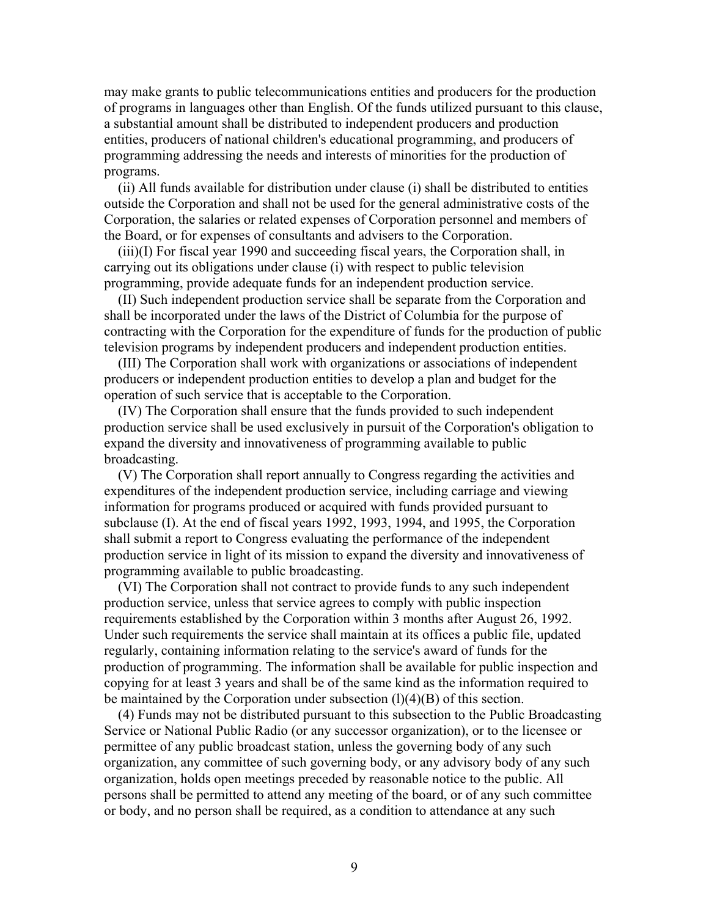may make grants to public telecommunications entities and producers for the production of programs in languages other than English. Of the funds utilized pursuant to this clause, a substantial amount shall be distributed to independent producers and production entities, producers of national children's educational programming, and producers of programming addressing the needs and interests of minorities for the production of programs.

 (ii) All funds available for distribution under clause (i) shall be distributed to entities outside the Corporation and shall not be used for the general administrative costs of the Corporation, the salaries or related expenses of Corporation personnel and members of the Board, or for expenses of consultants and advisers to the Corporation.

 (iii)(I) For fiscal year 1990 and succeeding fiscal years, the Corporation shall, in carrying out its obligations under clause (i) with respect to public television programming, provide adequate funds for an independent production service.

 (II) Such independent production service shall be separate from the Corporation and shall be incorporated under the laws of the District of Columbia for the purpose of contracting with the Corporation for the expenditure of funds for the production of public television programs by independent producers and independent production entities.

 (III) The Corporation shall work with organizations or associations of independent producers or independent production entities to develop a plan and budget for the operation of such service that is acceptable to the Corporation.

 (IV) The Corporation shall ensure that the funds provided to such independent production service shall be used exclusively in pursuit of the Corporation's obligation to expand the diversity and innovativeness of programming available to public broadcasting.

 (V) The Corporation shall report annually to Congress regarding the activities and expenditures of the independent production service, including carriage and viewing information for programs produced or acquired with funds provided pursuant to subclause (I). At the end of fiscal years 1992, 1993, 1994, and 1995, the Corporation shall submit a report to Congress evaluating the performance of the independent production service in light of its mission to expand the diversity and innovativeness of programming available to public broadcasting.

 (VI) The Corporation shall not contract to provide funds to any such independent production service, unless that service agrees to comply with public inspection requirements established by the Corporation within 3 months after August 26, 1992. Under such requirements the service shall maintain at its offices a public file, updated regularly, containing information relating to the service's award of funds for the production of programming. The information shall be available for public inspection and copying for at least 3 years and shall be of the same kind as the information required to be maintained by the Corporation under subsection (l)(4)(B) of this section.

 (4) Funds may not be distributed pursuant to this subsection to the Public Broadcasting Service or National Public Radio (or any successor organization), or to the licensee or permittee of any public broadcast station, unless the governing body of any such organization, any committee of such governing body, or any advisory body of any such organization, holds open meetings preceded by reasonable notice to the public. All persons shall be permitted to attend any meeting of the board, or of any such committee or body, and no person shall be required, as a condition to attendance at any such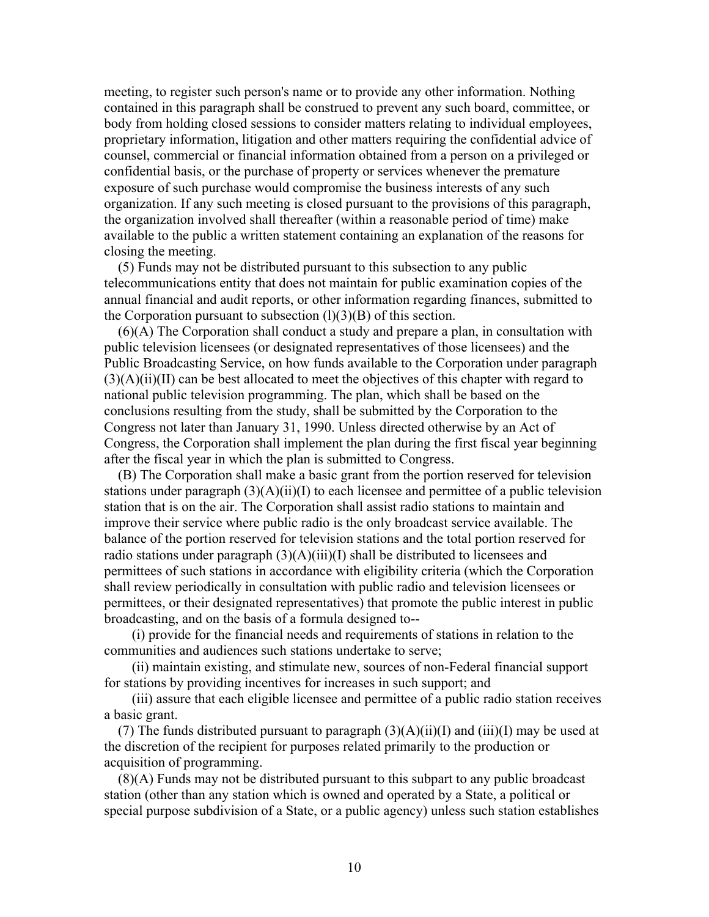meeting, to register such person's name or to provide any other information. Nothing contained in this paragraph shall be construed to prevent any such board, committee, or body from holding closed sessions to consider matters relating to individual employees, proprietary information, litigation and other matters requiring the confidential advice of counsel, commercial or financial information obtained from a person on a privileged or confidential basis, or the purchase of property or services whenever the premature exposure of such purchase would compromise the business interests of any such organization. If any such meeting is closed pursuant to the provisions of this paragraph, the organization involved shall thereafter (within a reasonable period of time) make available to the public a written statement containing an explanation of the reasons for closing the meeting.

 (5) Funds may not be distributed pursuant to this subsection to any public telecommunications entity that does not maintain for public examination copies of the annual financial and audit reports, or other information regarding finances, submitted to the Corporation pursuant to subsection  $(l)(3)(B)$  of this section.

 (6)(A) The Corporation shall conduct a study and prepare a plan, in consultation with public television licensees (or designated representatives of those licensees) and the Public Broadcasting Service, on how funds available to the Corporation under paragraph  $(3)(A)(ii)(II)$  can be best allocated to meet the objectives of this chapter with regard to national public television programming. The plan, which shall be based on the conclusions resulting from the study, shall be submitted by the Corporation to the Congress not later than January 31, 1990. Unless directed otherwise by an Act of Congress, the Corporation shall implement the plan during the first fiscal year beginning after the fiscal year in which the plan is submitted to Congress.

 (B) The Corporation shall make a basic grant from the portion reserved for television stations under paragraph  $(3)(A)(ii)(I)$  to each licensee and permittee of a public television station that is on the air. The Corporation shall assist radio stations to maintain and improve their service where public radio is the only broadcast service available. The balance of the portion reserved for television stations and the total portion reserved for radio stations under paragraph  $(3)(A)(iii)(I)$  shall be distributed to licensees and permittees of such stations in accordance with eligibility criteria (which the Corporation shall review periodically in consultation with public radio and television licensees or permittees, or their designated representatives) that promote the public interest in public broadcasting, and on the basis of a formula designed to--

 (i) provide for the financial needs and requirements of stations in relation to the communities and audiences such stations undertake to serve;

 (ii) maintain existing, and stimulate new, sources of non-Federal financial support for stations by providing incentives for increases in such support; and

 (iii) assure that each eligible licensee and permittee of a public radio station receives a basic grant.

(7) The funds distributed pursuant to paragraph  $(3)(A)(ii)(I)$  and  $(iii)(I)$  may be used at the discretion of the recipient for purposes related primarily to the production or acquisition of programming.

 (8)(A) Funds may not be distributed pursuant to this subpart to any public broadcast station (other than any station which is owned and operated by a State, a political or special purpose subdivision of a State, or a public agency) unless such station establishes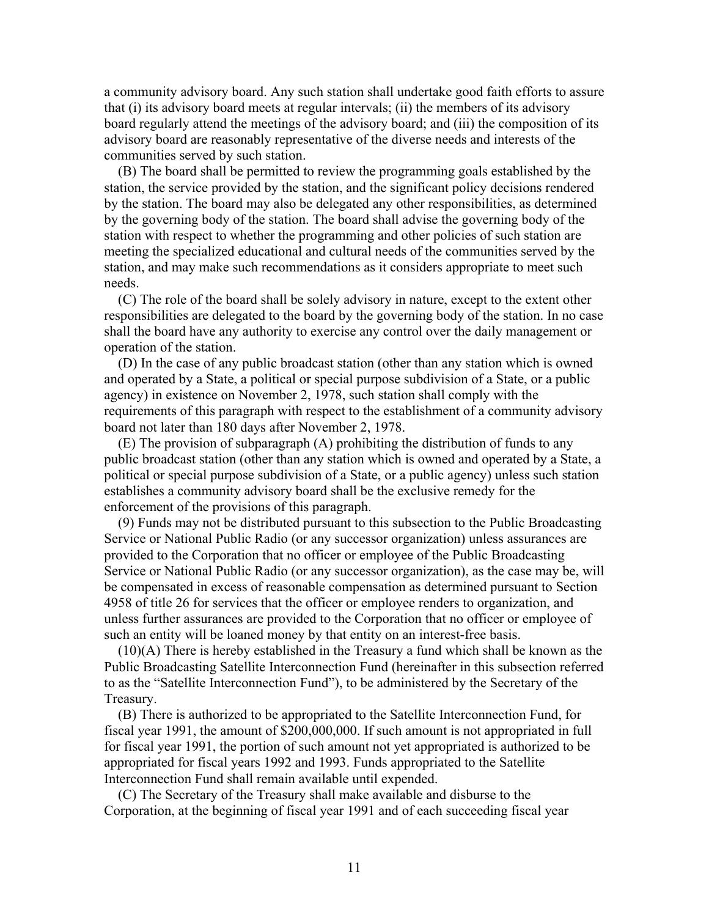a community advisory board. Any such station shall undertake good faith efforts to assure that (i) its advisory board meets at regular intervals; (ii) the members of its advisory board regularly attend the meetings of the advisory board; and (iii) the composition of its advisory board are reasonably representative of the diverse needs and interests of the communities served by such station.

 (B) The board shall be permitted to review the programming goals established by the station, the service provided by the station, and the significant policy decisions rendered by the station. The board may also be delegated any other responsibilities, as determined by the governing body of the station. The board shall advise the governing body of the station with respect to whether the programming and other policies of such station are meeting the specialized educational and cultural needs of the communities served by the station, and may make such recommendations as it considers appropriate to meet such needs.

 (C) The role of the board shall be solely advisory in nature, except to the extent other responsibilities are delegated to the board by the governing body of the station. In no case shall the board have any authority to exercise any control over the daily management or operation of the station.

 (D) In the case of any public broadcast station (other than any station which is owned and operated by a State, a political or special purpose subdivision of a State, or a public agency) in existence on November 2, 1978, such station shall comply with the requirements of this paragraph with respect to the establishment of a community advisory board not later than 180 days after November 2, 1978.

 (E) The provision of subparagraph (A) prohibiting the distribution of funds to any public broadcast station (other than any station which is owned and operated by a State, a political or special purpose subdivision of a State, or a public agency) unless such station establishes a community advisory board shall be the exclusive remedy for the enforcement of the provisions of this paragraph.

 (9) Funds may not be distributed pursuant to this subsection to the Public Broadcasting Service or National Public Radio (or any successor organization) unless assurances are provided to the Corporation that no officer or employee of the Public Broadcasting Service or National Public Radio (or any successor organization), as the case may be, will be compensated in excess of reasonable compensation as determined pursuant to Section 4958 of title 26 for services that the officer or employee renders to organization, and unless further assurances are provided to the Corporation that no officer or employee of such an entity will be loaned money by that entity on an interest-free basis.

 (10)(A) There is hereby established in the Treasury a fund which shall be known as the Public Broadcasting Satellite Interconnection Fund (hereinafter in this subsection referred to as the "Satellite Interconnection Fund"), to be administered by the Secretary of the Treasury.

 (B) There is authorized to be appropriated to the Satellite Interconnection Fund, for fiscal year 1991, the amount of \$200,000,000. If such amount is not appropriated in full for fiscal year 1991, the portion of such amount not yet appropriated is authorized to be appropriated for fiscal years 1992 and 1993. Funds appropriated to the Satellite Interconnection Fund shall remain available until expended.

 (C) The Secretary of the Treasury shall make available and disburse to the Corporation, at the beginning of fiscal year 1991 and of each succeeding fiscal year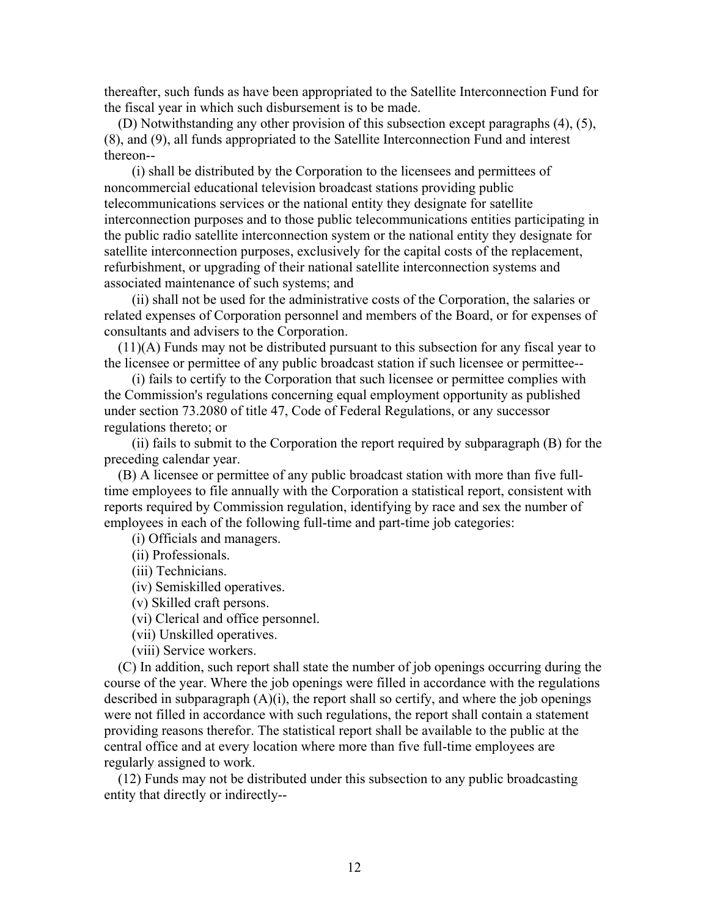thereafter, such funds as have been appropriated to the Satellite Interconnection Fund for the fiscal year in which such disbursement is to be made.

 (D) Notwithstanding any other provision of this subsection except paragraphs (4), (5), (8), and (9), all funds appropriated to the Satellite Interconnection Fund and interest thereon--

 (i) shall be distributed by the Corporation to the licensees and permittees of noncommercial educational television broadcast stations providing public telecommunications services or the national entity they designate for satellite interconnection purposes and to those public telecommunications entities participating in the public radio satellite interconnection system or the national entity they designate for satellite interconnection purposes, exclusively for the capital costs of the replacement, refurbishment, or upgrading of their national satellite interconnection systems and associated maintenance of such systems; and

 (ii) shall not be used for the administrative costs of the Corporation, the salaries or related expenses of Corporation personnel and members of the Board, or for expenses of consultants and advisers to the Corporation.

 $(11)(A)$  Funds may not be distributed pursuant to this subsection for any fiscal year to the licensee or permittee of any public broadcast station if such licensee or permittee--

 (i) fails to certify to the Corporation that such licensee or permittee complies with the Commission's regulations concerning equal employment opportunity as published under section 73.2080 of title 47, Code of Federal Regulations, or any successor regulations thereto; or

 (ii) fails to submit to the Corporation the report required by subparagraph (B) for the preceding calendar year.

 (B) A licensee or permittee of any public broadcast station with more than five fulltime employees to file annually with the Corporation a statistical report, consistent with reports required by Commission regulation, identifying by race and sex the number of employees in each of the following full-time and part-time job categories:

(i) Officials and managers.

(ii) Professionals.

(iii) Technicians.

(iv) Semiskilled operatives.

(v) Skilled craft persons.

(vi) Clerical and office personnel.

(vii) Unskilled operatives.

(viii) Service workers.

 (C) In addition, such report shall state the number of job openings occurring during the course of the year. Where the job openings were filled in accordance with the regulations described in subparagraph  $(A)(i)$ , the report shall so certify, and where the job openings were not filled in accordance with such regulations, the report shall contain a statement providing reasons therefor. The statistical report shall be available to the public at the central office and at every location where more than five full-time employees are regularly assigned to work.

 (12) Funds may not be distributed under this subsection to any public broadcasting entity that directly or indirectly--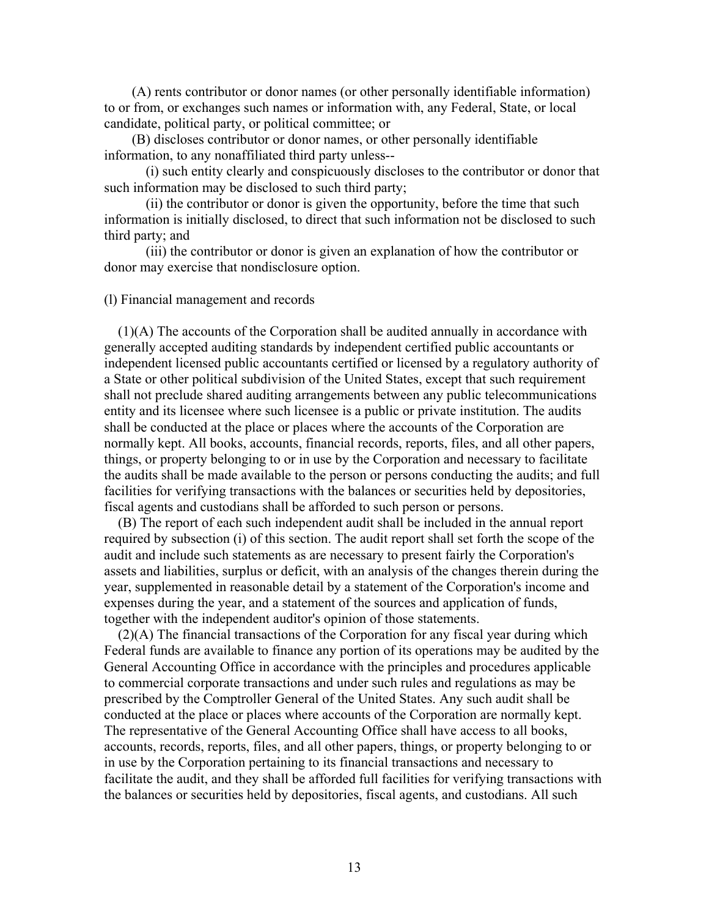(A) rents contributor or donor names (or other personally identifiable information) to or from, or exchanges such names or information with, any Federal, State, or local candidate, political party, or political committee; or

 (B) discloses contributor or donor names, or other personally identifiable information, to any nonaffiliated third party unless--

 (i) such entity clearly and conspicuously discloses to the contributor or donor that such information may be disclosed to such third party;

 (ii) the contributor or donor is given the opportunity, before the time that such information is initially disclosed, to direct that such information not be disclosed to such third party; and

 (iii) the contributor or donor is given an explanation of how the contributor or donor may exercise that nondisclosure option.

(l) Financial management and records

 (1)(A) The accounts of the Corporation shall be audited annually in accordance with generally accepted auditing standards by independent certified public accountants or independent licensed public accountants certified or licensed by a regulatory authority of a State or other political subdivision of the United States, except that such requirement shall not preclude shared auditing arrangements between any public telecommunications entity and its licensee where such licensee is a public or private institution. The audits shall be conducted at the place or places where the accounts of the Corporation are normally kept. All books, accounts, financial records, reports, files, and all other papers, things, or property belonging to or in use by the Corporation and necessary to facilitate the audits shall be made available to the person or persons conducting the audits; and full facilities for verifying transactions with the balances or securities held by depositories, fiscal agents and custodians shall be afforded to such person or persons.

 (B) The report of each such independent audit shall be included in the annual report required by subsection (i) of this section. The audit report shall set forth the scope of the audit and include such statements as are necessary to present fairly the Corporation's assets and liabilities, surplus or deficit, with an analysis of the changes therein during the year, supplemented in reasonable detail by a statement of the Corporation's income and expenses during the year, and a statement of the sources and application of funds, together with the independent auditor's opinion of those statements.

 (2)(A) The financial transactions of the Corporation for any fiscal year during which Federal funds are available to finance any portion of its operations may be audited by the General Accounting Office in accordance with the principles and procedures applicable to commercial corporate transactions and under such rules and regulations as may be prescribed by the Comptroller General of the United States. Any such audit shall be conducted at the place or places where accounts of the Corporation are normally kept. The representative of the General Accounting Office shall have access to all books, accounts, records, reports, files, and all other papers, things, or property belonging to or in use by the Corporation pertaining to its financial transactions and necessary to facilitate the audit, and they shall be afforded full facilities for verifying transactions with the balances or securities held by depositories, fiscal agents, and custodians. All such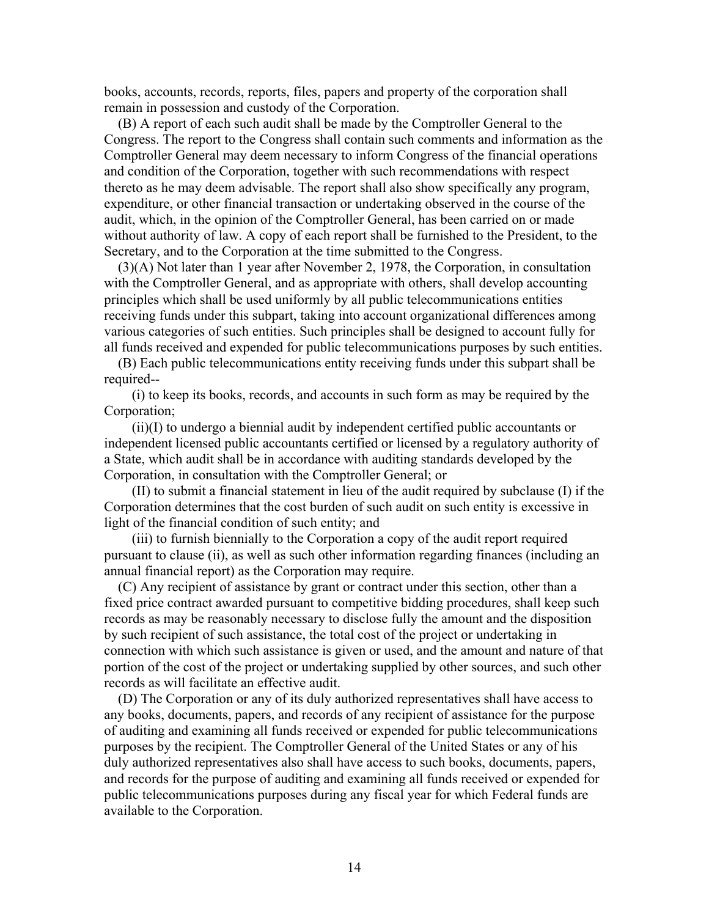books, accounts, records, reports, files, papers and property of the corporation shall remain in possession and custody of the Corporation.

 (B) A report of each such audit shall be made by the Comptroller General to the Congress. The report to the Congress shall contain such comments and information as the Comptroller General may deem necessary to inform Congress of the financial operations and condition of the Corporation, together with such recommendations with respect thereto as he may deem advisable. The report shall also show specifically any program, expenditure, or other financial transaction or undertaking observed in the course of the audit, which, in the opinion of the Comptroller General, has been carried on or made without authority of law. A copy of each report shall be furnished to the President, to the Secretary, and to the Corporation at the time submitted to the Congress.

 (3)(A) Not later than 1 year after November 2, 1978, the Corporation, in consultation with the Comptroller General, and as appropriate with others, shall develop accounting principles which shall be used uniformly by all public telecommunications entities receiving funds under this subpart, taking into account organizational differences among various categories of such entities. Such principles shall be designed to account fully for all funds received and expended for public telecommunications purposes by such entities.

 (B) Each public telecommunications entity receiving funds under this subpart shall be required--

 (i) to keep its books, records, and accounts in such form as may be required by the Corporation;

 (ii)(I) to undergo a biennial audit by independent certified public accountants or independent licensed public accountants certified or licensed by a regulatory authority of a State, which audit shall be in accordance with auditing standards developed by the Corporation, in consultation with the Comptroller General; or

 (II) to submit a financial statement in lieu of the audit required by subclause (I) if the Corporation determines that the cost burden of such audit on such entity is excessive in light of the financial condition of such entity; and

 (iii) to furnish biennially to the Corporation a copy of the audit report required pursuant to clause (ii), as well as such other information regarding finances (including an annual financial report) as the Corporation may require.

 (C) Any recipient of assistance by grant or contract under this section, other than a fixed price contract awarded pursuant to competitive bidding procedures, shall keep such records as may be reasonably necessary to disclose fully the amount and the disposition by such recipient of such assistance, the total cost of the project or undertaking in connection with which such assistance is given or used, and the amount and nature of that portion of the cost of the project or undertaking supplied by other sources, and such other records as will facilitate an effective audit.

 (D) The Corporation or any of its duly authorized representatives shall have access to any books, documents, papers, and records of any recipient of assistance for the purpose of auditing and examining all funds received or expended for public telecommunications purposes by the recipient. The Comptroller General of the United States or any of his duly authorized representatives also shall have access to such books, documents, papers, and records for the purpose of auditing and examining all funds received or expended for public telecommunications purposes during any fiscal year for which Federal funds are available to the Corporation.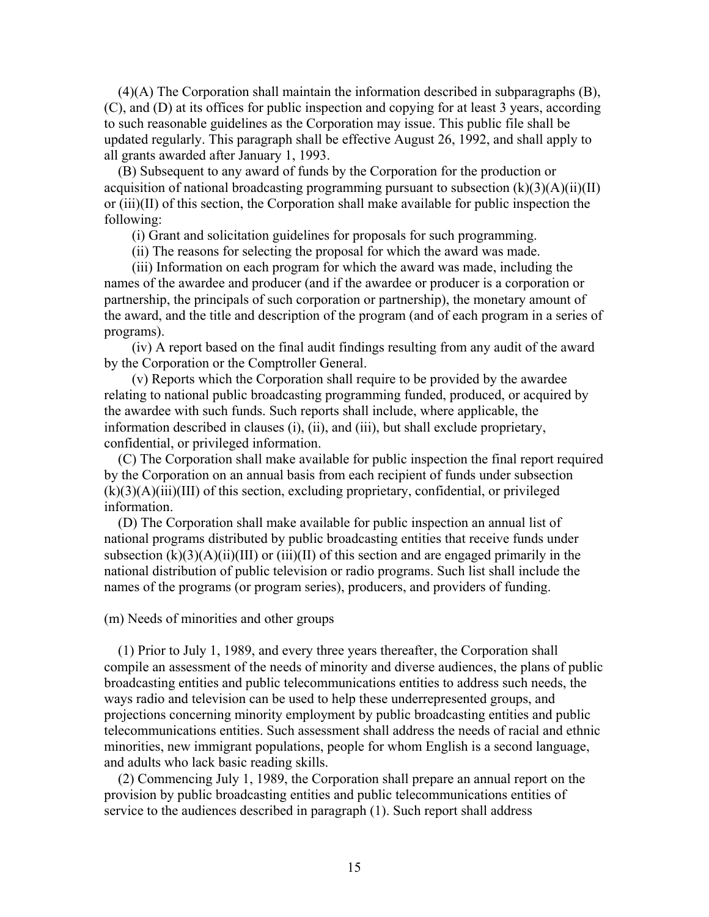(4)(A) The Corporation shall maintain the information described in subparagraphs (B), (C), and (D) at its offices for public inspection and copying for at least 3 years, according to such reasonable guidelines as the Corporation may issue. This public file shall be updated regularly. This paragraph shall be effective August 26, 1992, and shall apply to all grants awarded after January 1, 1993.

 (B) Subsequent to any award of funds by the Corporation for the production or acquisition of national broadcasting programming pursuant to subsection  $(k)(3)(A)(ii)(II)$ or (iii)(II) of this section, the Corporation shall make available for public inspection the following:

(i) Grant and solicitation guidelines for proposals for such programming.

(ii) The reasons for selecting the proposal for which the award was made.

 (iii) Information on each program for which the award was made, including the names of the awardee and producer (and if the awardee or producer is a corporation or partnership, the principals of such corporation or partnership), the monetary amount of the award, and the title and description of the program (and of each program in a series of programs).

 (iv) A report based on the final audit findings resulting from any audit of the award by the Corporation or the Comptroller General.

 (v) Reports which the Corporation shall require to be provided by the awardee relating to national public broadcasting programming funded, produced, or acquired by the awardee with such funds. Such reports shall include, where applicable, the information described in clauses (i), (ii), and (iii), but shall exclude proprietary, confidential, or privileged information.

 (C) The Corporation shall make available for public inspection the final report required by the Corporation on an annual basis from each recipient of funds under subsection  $(k)(3)(A)(iii)(III)$  of this section, excluding proprietary, confidential, or privileged information.

 (D) The Corporation shall make available for public inspection an annual list of national programs distributed by public broadcasting entities that receive funds under subsection  $(k)(3)(A)(ii)(III)$  or  $(iii)(II)$  of this section and are engaged primarily in the national distribution of public television or radio programs. Such list shall include the names of the programs (or program series), producers, and providers of funding.

### (m) Needs of minorities and other groups

 (1) Prior to July 1, 1989, and every three years thereafter, the Corporation shall compile an assessment of the needs of minority and diverse audiences, the plans of public broadcasting entities and public telecommunications entities to address such needs, the ways radio and television can be used to help these underrepresented groups, and projections concerning minority employment by public broadcasting entities and public telecommunications entities. Such assessment shall address the needs of racial and ethnic minorities, new immigrant populations, people for whom English is a second language, and adults who lack basic reading skills.

 (2) Commencing July 1, 1989, the Corporation shall prepare an annual report on the provision by public broadcasting entities and public telecommunications entities of service to the audiences described in paragraph (1). Such report shall address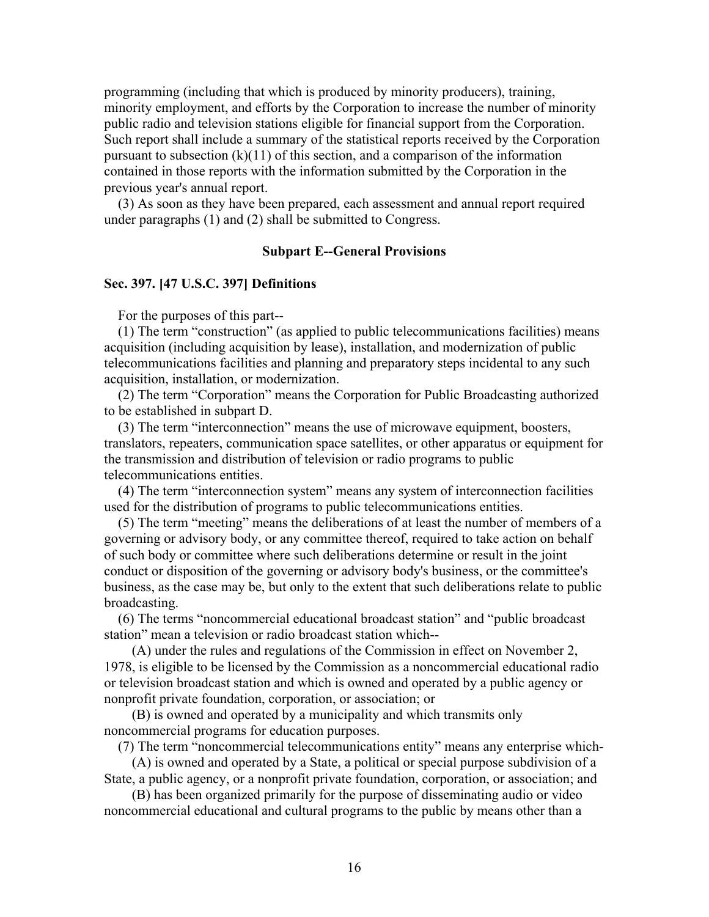programming (including that which is produced by minority producers), training, minority employment, and efforts by the Corporation to increase the number of minority public radio and television stations eligible for financial support from the Corporation. Such report shall include a summary of the statistical reports received by the Corporation pursuant to subsection  $(k)(11)$  of this section, and a comparison of the information contained in those reports with the information submitted by the Corporation in the previous year's annual report.

 (3) As soon as they have been prepared, each assessment and annual report required under paragraphs (1) and (2) shall be submitted to Congress.

## **Subpart E--General Provisions**

### **Sec. 397. [47 U.S.C. 397] Definitions**

For the purposes of this part--

 (1) The term "construction" (as applied to public telecommunications facilities) means acquisition (including acquisition by lease), installation, and modernization of public telecommunications facilities and planning and preparatory steps incidental to any such acquisition, installation, or modernization.

 (2) The term "Corporation" means the Corporation for Public Broadcasting authorized to be established in subpart D.

 (3) The term "interconnection" means the use of microwave equipment, boosters, translators, repeaters, communication space satellites, or other apparatus or equipment for the transmission and distribution of television or radio programs to public telecommunications entities.

 (4) The term "interconnection system" means any system of interconnection facilities used for the distribution of programs to public telecommunications entities.

 (5) The term "meeting" means the deliberations of at least the number of members of a governing or advisory body, or any committee thereof, required to take action on behalf of such body or committee where such deliberations determine or result in the joint conduct or disposition of the governing or advisory body's business, or the committee's business, as the case may be, but only to the extent that such deliberations relate to public broadcasting.

 (6) The terms "noncommercial educational broadcast station" and "public broadcast station" mean a television or radio broadcast station which--

 (A) under the rules and regulations of the Commission in effect on November 2, 1978, is eligible to be licensed by the Commission as a noncommercial educational radio or television broadcast station and which is owned and operated by a public agency or nonprofit private foundation, corporation, or association; or

 (B) is owned and operated by a municipality and which transmits only noncommercial programs for education purposes.

(7) The term "noncommercial telecommunications entity" means any enterprise which-

 (A) is owned and operated by a State, a political or special purpose subdivision of a State, a public agency, or a nonprofit private foundation, corporation, or association; and

 (B) has been organized primarily for the purpose of disseminating audio or video noncommercial educational and cultural programs to the public by means other than a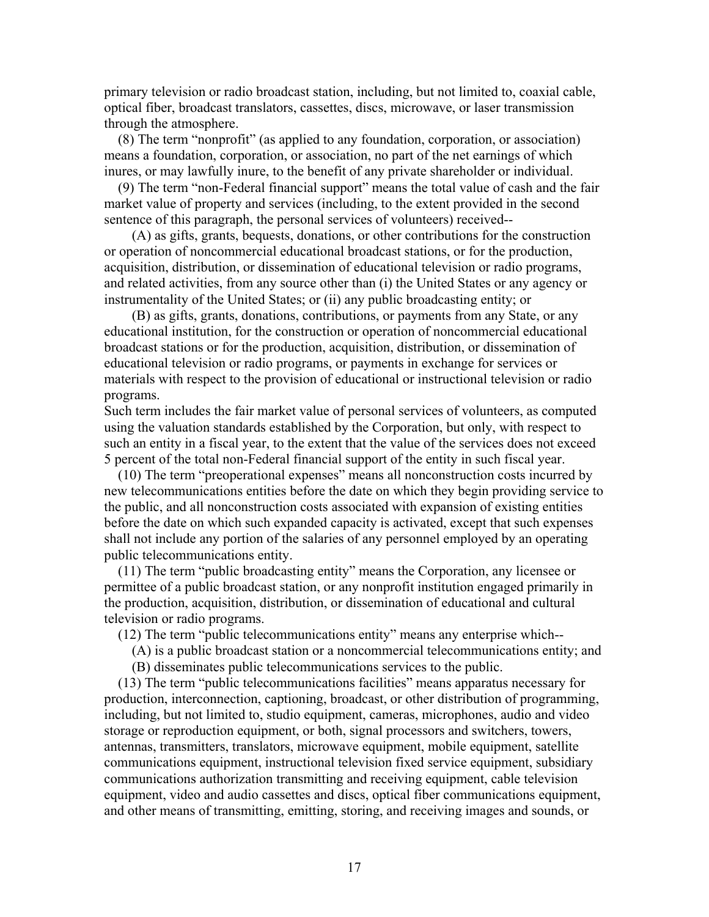primary television or radio broadcast station, including, but not limited to, coaxial cable, optical fiber, broadcast translators, cassettes, discs, microwave, or laser transmission through the atmosphere.

 (8) The term "nonprofit" (as applied to any foundation, corporation, or association) means a foundation, corporation, or association, no part of the net earnings of which inures, or may lawfully inure, to the benefit of any private shareholder or individual.

 (9) The term "non-Federal financial support" means the total value of cash and the fair market value of property and services (including, to the extent provided in the second sentence of this paragraph, the personal services of volunteers) received--

 (A) as gifts, grants, bequests, donations, or other contributions for the construction or operation of noncommercial educational broadcast stations, or for the production, acquisition, distribution, or dissemination of educational television or radio programs, and related activities, from any source other than (i) the United States or any agency or instrumentality of the United States; or (ii) any public broadcasting entity; or

 (B) as gifts, grants, donations, contributions, or payments from any State, or any educational institution, for the construction or operation of noncommercial educational broadcast stations or for the production, acquisition, distribution, or dissemination of educational television or radio programs, or payments in exchange for services or materials with respect to the provision of educational or instructional television or radio programs.

Such term includes the fair market value of personal services of volunteers, as computed using the valuation standards established by the Corporation, but only, with respect to such an entity in a fiscal year, to the extent that the value of the services does not exceed 5 percent of the total non-Federal financial support of the entity in such fiscal year.

 (10) The term "preoperational expenses" means all nonconstruction costs incurred by new telecommunications entities before the date on which they begin providing service to the public, and all nonconstruction costs associated with expansion of existing entities before the date on which such expanded capacity is activated, except that such expenses shall not include any portion of the salaries of any personnel employed by an operating public telecommunications entity.

 (11) The term "public broadcasting entity" means the Corporation, any licensee or permittee of a public broadcast station, or any nonprofit institution engaged primarily in the production, acquisition, distribution, or dissemination of educational and cultural television or radio programs.

(12) The term "public telecommunications entity" means any enterprise which--

- (A) is a public broadcast station or a noncommercial telecommunications entity; and
- (B) disseminates public telecommunications services to the public.

 (13) The term "public telecommunications facilities" means apparatus necessary for production, interconnection, captioning, broadcast, or other distribution of programming, including, but not limited to, studio equipment, cameras, microphones, audio and video storage or reproduction equipment, or both, signal processors and switchers, towers, antennas, transmitters, translators, microwave equipment, mobile equipment, satellite communications equipment, instructional television fixed service equipment, subsidiary communications authorization transmitting and receiving equipment, cable television equipment, video and audio cassettes and discs, optical fiber communications equipment, and other means of transmitting, emitting, storing, and receiving images and sounds, or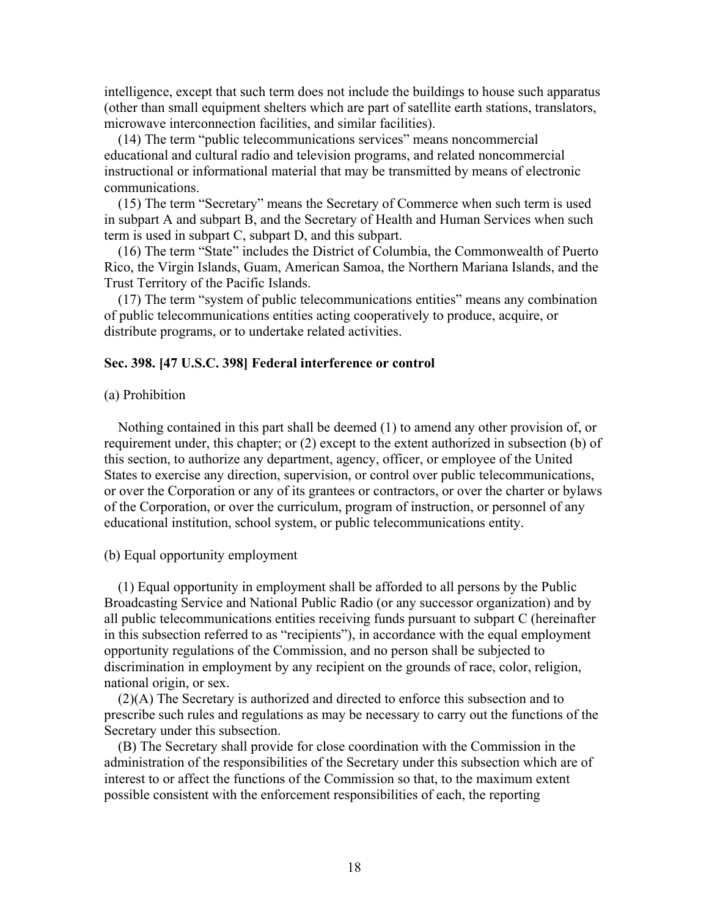intelligence, except that such term does not include the buildings to house such apparatus (other than small equipment shelters which are part of satellite earth stations, translators, microwave interconnection facilities, and similar facilities).

 (14) The term "public telecommunications services" means noncommercial educational and cultural radio and television programs, and related noncommercial instructional or informational material that may be transmitted by means of electronic communications.

 (15) The term "Secretary" means the Secretary of Commerce when such term is used in subpart A and subpart B, and the Secretary of Health and Human Services when such term is used in subpart C, subpart D, and this subpart.

 (16) The term "State" includes the District of Columbia, the Commonwealth of Puerto Rico, the Virgin Islands, Guam, American Samoa, the Northern Mariana Islands, and the Trust Territory of the Pacific Islands.

 (17) The term "system of public telecommunications entities" means any combination of public telecommunications entities acting cooperatively to produce, acquire, or distribute programs, or to undertake related activities.

# **Sec. 398. [47 U.S.C. 398] Federal interference or control**

### (a) Prohibition

 Nothing contained in this part shall be deemed (1) to amend any other provision of, or requirement under, this chapter; or (2) except to the extent authorized in subsection (b) of this section, to authorize any department, agency, officer, or employee of the United States to exercise any direction, supervision, or control over public telecommunications, or over the Corporation or any of its grantees or contractors, or over the charter or bylaws of the Corporation, or over the curriculum, program of instruction, or personnel of any educational institution, school system, or public telecommunications entity.

#### (b) Equal opportunity employment

 (1) Equal opportunity in employment shall be afforded to all persons by the Public Broadcasting Service and National Public Radio (or any successor organization) and by all public telecommunications entities receiving funds pursuant to subpart C (hereinafter in this subsection referred to as "recipients"), in accordance with the equal employment opportunity regulations of the Commission, and no person shall be subjected to discrimination in employment by any recipient on the grounds of race, color, religion, national origin, or sex.

 (2)(A) The Secretary is authorized and directed to enforce this subsection and to prescribe such rules and regulations as may be necessary to carry out the functions of the Secretary under this subsection.

 (B) The Secretary shall provide for close coordination with the Commission in the administration of the responsibilities of the Secretary under this subsection which are of interest to or affect the functions of the Commission so that, to the maximum extent possible consistent with the enforcement responsibilities of each, the reporting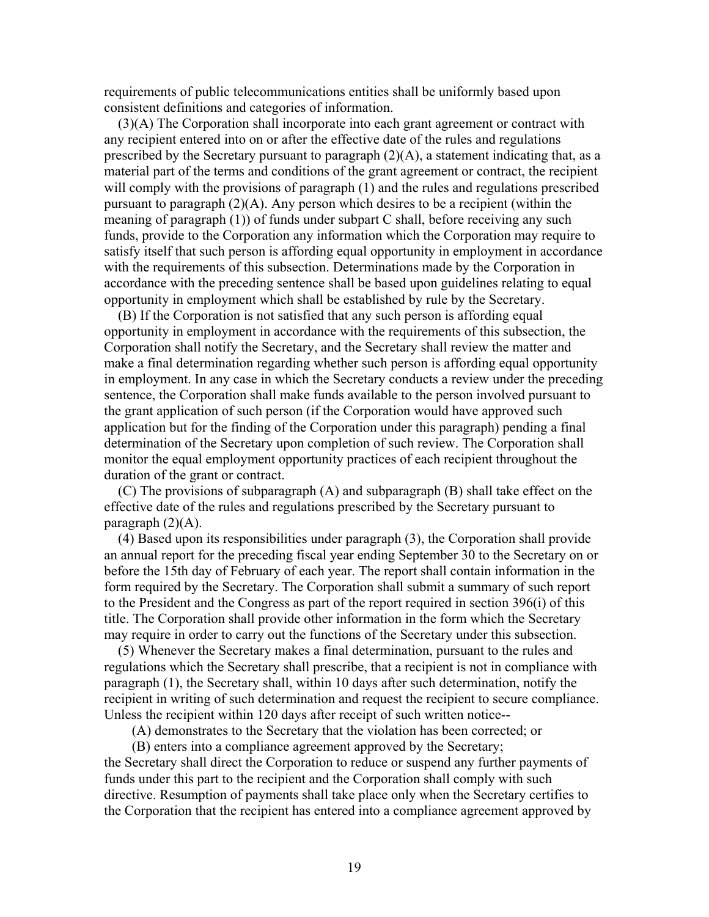requirements of public telecommunications entities shall be uniformly based upon consistent definitions and categories of information.

 (3)(A) The Corporation shall incorporate into each grant agreement or contract with any recipient entered into on or after the effective date of the rules and regulations prescribed by the Secretary pursuant to paragraph (2)(A), a statement indicating that, as a material part of the terms and conditions of the grant agreement or contract, the recipient will comply with the provisions of paragraph (1) and the rules and regulations prescribed pursuant to paragraph (2)(A). Any person which desires to be a recipient (within the meaning of paragraph (1)) of funds under subpart C shall, before receiving any such funds, provide to the Corporation any information which the Corporation may require to satisfy itself that such person is affording equal opportunity in employment in accordance with the requirements of this subsection. Determinations made by the Corporation in accordance with the preceding sentence shall be based upon guidelines relating to equal opportunity in employment which shall be established by rule by the Secretary.

 (B) If the Corporation is not satisfied that any such person is affording equal opportunity in employment in accordance with the requirements of this subsection, the Corporation shall notify the Secretary, and the Secretary shall review the matter and make a final determination regarding whether such person is affording equal opportunity in employment. In any case in which the Secretary conducts a review under the preceding sentence, the Corporation shall make funds available to the person involved pursuant to the grant application of such person (if the Corporation would have approved such application but for the finding of the Corporation under this paragraph) pending a final determination of the Secretary upon completion of such review. The Corporation shall monitor the equal employment opportunity practices of each recipient throughout the duration of the grant or contract.

 (C) The provisions of subparagraph (A) and subparagraph (B) shall take effect on the effective date of the rules and regulations prescribed by the Secretary pursuant to paragraph  $(2)(A)$ .

 (4) Based upon its responsibilities under paragraph (3), the Corporation shall provide an annual report for the preceding fiscal year ending September 30 to the Secretary on or before the 15th day of February of each year. The report shall contain information in the form required by the Secretary. The Corporation shall submit a summary of such report to the President and the Congress as part of the report required in section 396(i) of this title. The Corporation shall provide other information in the form which the Secretary may require in order to carry out the functions of the Secretary under this subsection.

 (5) Whenever the Secretary makes a final determination, pursuant to the rules and regulations which the Secretary shall prescribe, that a recipient is not in compliance with paragraph (1), the Secretary shall, within 10 days after such determination, notify the recipient in writing of such determination and request the recipient to secure compliance. Unless the recipient within 120 days after receipt of such written notice--

(A) demonstrates to the Secretary that the violation has been corrected; or

 (B) enters into a compliance agreement approved by the Secretary; the Secretary shall direct the Corporation to reduce or suspend any further payments of funds under this part to the recipient and the Corporation shall comply with such directive. Resumption of payments shall take place only when the Secretary certifies to the Corporation that the recipient has entered into a compliance agreement approved by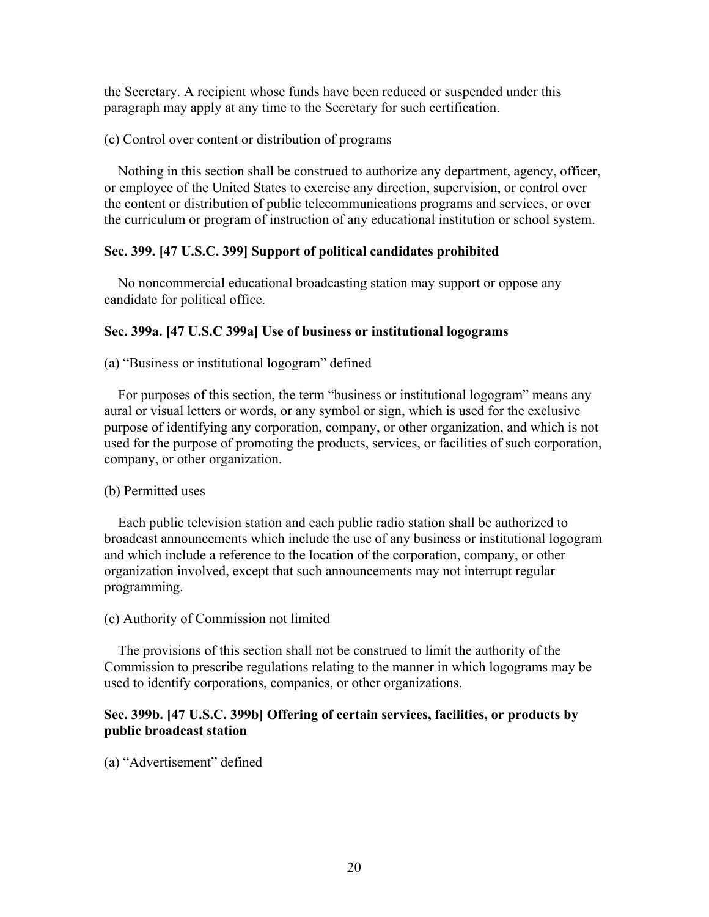the Secretary. A recipient whose funds have been reduced or suspended under this paragraph may apply at any time to the Secretary for such certification.

(c) Control over content or distribution of programs

 Nothing in this section shall be construed to authorize any department, agency, officer, or employee of the United States to exercise any direction, supervision, or control over the content or distribution of public telecommunications programs and services, or over the curriculum or program of instruction of any educational institution or school system.

# **Sec. 399. [47 U.S.C. 399] Support of political candidates prohibited**

 No noncommercial educational broadcasting station may support or oppose any candidate for political office.

# **Sec. 399a. [47 U.S.C 399a] Use of business or institutional logograms**

(a) "Business or institutional logogram" defined

 For purposes of this section, the term "business or institutional logogram" means any aural or visual letters or words, or any symbol or sign, which is used for the exclusive purpose of identifying any corporation, company, or other organization, and which is not used for the purpose of promoting the products, services, or facilities of such corporation, company, or other organization.

# (b) Permitted uses

 Each public television station and each public radio station shall be authorized to broadcast announcements which include the use of any business or institutional logogram and which include a reference to the location of the corporation, company, or other organization involved, except that such announcements may not interrupt regular programming.

## (c) Authority of Commission not limited

 The provisions of this section shall not be construed to limit the authority of the Commission to prescribe regulations relating to the manner in which logograms may be used to identify corporations, companies, or other organizations.

# **Sec. 399b. [47 U.S.C. 399b] Offering of certain services, facilities, or products by public broadcast station**

(a) "Advertisement" defined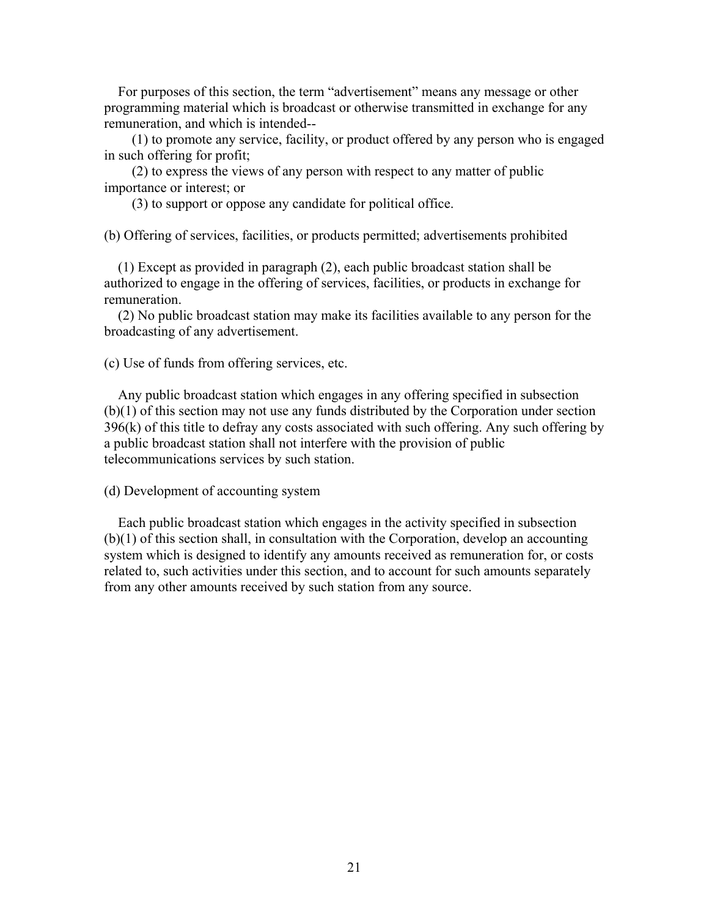For purposes of this section, the term "advertisement" means any message or other programming material which is broadcast or otherwise transmitted in exchange for any remuneration, and which is intended--

 (1) to promote any service, facility, or product offered by any person who is engaged in such offering for profit;

 (2) to express the views of any person with respect to any matter of public importance or interest; or

(3) to support or oppose any candidate for political office.

(b) Offering of services, facilities, or products permitted; advertisements prohibited

 (1) Except as provided in paragraph (2), each public broadcast station shall be authorized to engage in the offering of services, facilities, or products in exchange for remuneration.

 (2) No public broadcast station may make its facilities available to any person for the broadcasting of any advertisement.

(c) Use of funds from offering services, etc.

 Any public broadcast station which engages in any offering specified in subsection (b)(1) of this section may not use any funds distributed by the Corporation under section  $396(k)$  of this title to defray any costs associated with such offering. Any such offering by a public broadcast station shall not interfere with the provision of public telecommunications services by such station.

(d) Development of accounting system

 Each public broadcast station which engages in the activity specified in subsection (b)(1) of this section shall, in consultation with the Corporation, develop an accounting system which is designed to identify any amounts received as remuneration for, or costs related to, such activities under this section, and to account for such amounts separately from any other amounts received by such station from any source.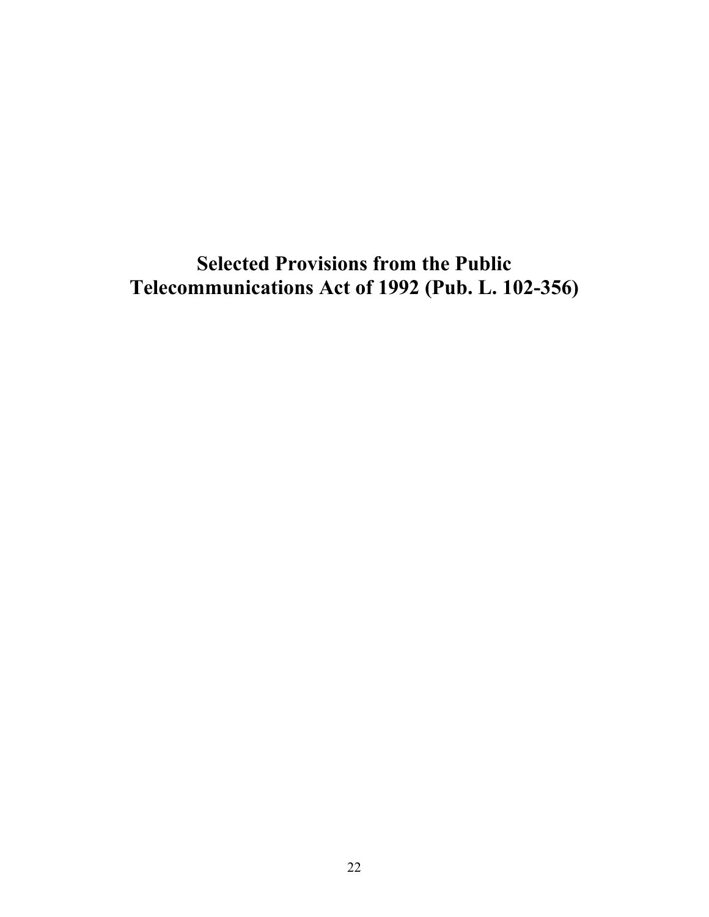**Selected Provisions from the Public Telecommunications Act of 1992 (Pub. L. 102-356)**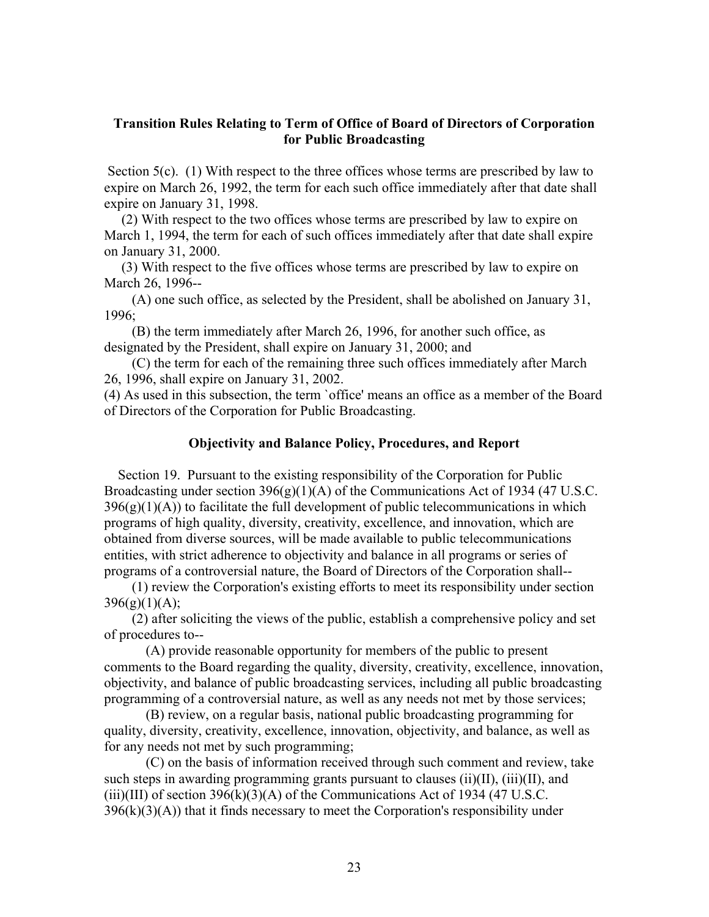## **Transition Rules Relating to Term of Office of Board of Directors of Corporation for Public Broadcasting**

Section 5(c). (1) With respect to the three offices whose terms are prescribed by law to expire on March 26, 1992, the term for each such office immediately after that date shall expire on January 31, 1998.

 (2) With respect to the two offices whose terms are prescribed by law to expire on March 1, 1994, the term for each of such offices immediately after that date shall expire on January 31, 2000.

 (3) With respect to the five offices whose terms are prescribed by law to expire on March 26, 1996--

 (A) one such office, as selected by the President, shall be abolished on January 31, 1996;

 (B) the term immediately after March 26, 1996, for another such office, as designated by the President, shall expire on January 31, 2000; and

 (C) the term for each of the remaining three such offices immediately after March 26, 1996, shall expire on January 31, 2002.

(4) As used in this subsection, the term `office' means an office as a member of the Board of Directors of the Corporation for Public Broadcasting.

## **Objectivity and Balance Policy, Procedures, and Report**

 Section 19. Pursuant to the existing responsibility of the Corporation for Public Broadcasting under section 396(g)(1)(A) of the Communications Act of 1934 (47 U.S.C.  $396(g)(1)(A)$  to facilitate the full development of public telecommunications in which programs of high quality, diversity, creativity, excellence, and innovation, which are obtained from diverse sources, will be made available to public telecommunications entities, with strict adherence to objectivity and balance in all programs or series of programs of a controversial nature, the Board of Directors of the Corporation shall--

 (1) review the Corporation's existing efforts to meet its responsibility under section  $396(g)(1)(A);$ 

 (2) after soliciting the views of the public, establish a comprehensive policy and set of procedures to--

 (A) provide reasonable opportunity for members of the public to present comments to the Board regarding the quality, diversity, creativity, excellence, innovation, objectivity, and balance of public broadcasting services, including all public broadcasting programming of a controversial nature, as well as any needs not met by those services;

 (B) review, on a regular basis, national public broadcasting programming for quality, diversity, creativity, excellence, innovation, objectivity, and balance, as well as for any needs not met by such programming;

 (C) on the basis of information received through such comment and review, take such steps in awarding programming grants pursuant to clauses  $(ii)(II)$ ,  $(iii)(II)$ , and  $(iii)(III)$  of section 396 $(k)(3)(A)$  of the Communications Act of 1934 (47 U.S.C.)  $396(k)(3)(A)$ ) that it finds necessary to meet the Corporation's responsibility under